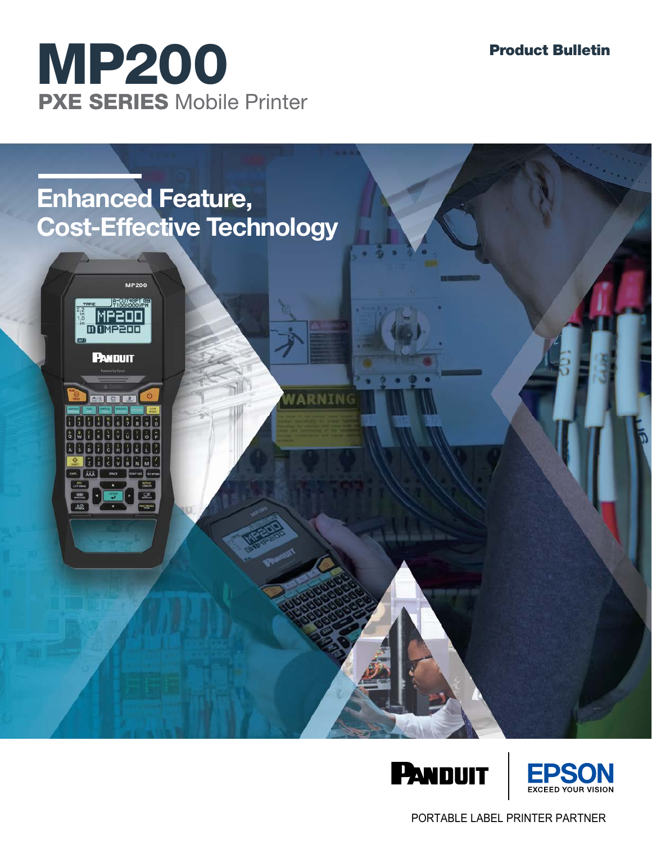

# **Enhanced Feature, Cost-Effective Technology**

WARNING









PORTABLE LABEL PRINTER PARTNER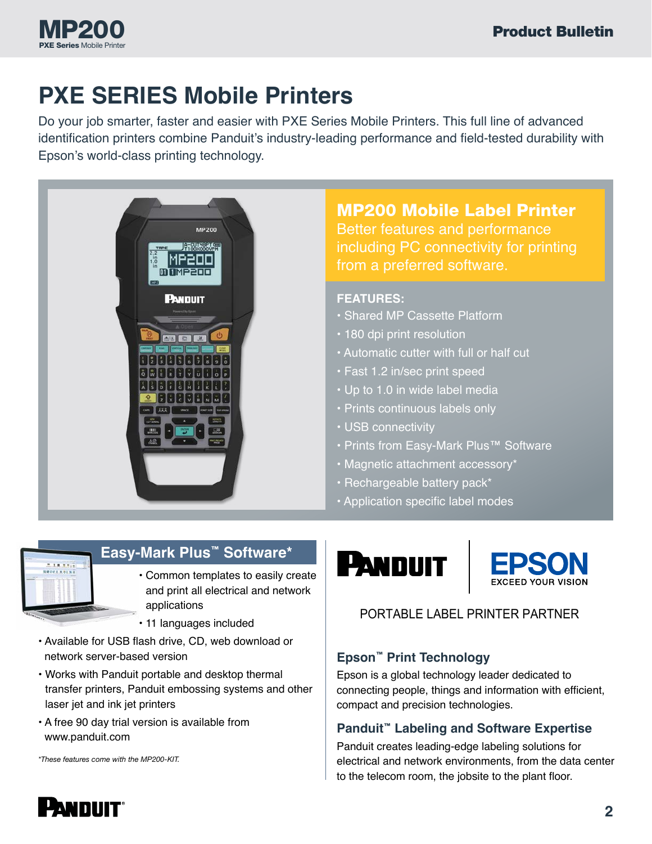

# **PXE SERIES Mobile Printers**

Do your job smarter, faster and easier with PXE Series Mobile Printers. This full line of advanced identification printers combine Panduit's industry-leading performance and field-tested durability with Epson's world-class printing technology.



### MP200 Mobile Label Printer

Better features and performance including PC connectivity for printing from a preferred software.

#### **FEATURES:**

- Shared MP Cassette Platform
- 180 dpi print resolution
- Automatic cutter with full or half cut
- Fast 1.2 in/sec print speed
- Up to 1.0 in wide label media
- Prints continuous labels only
- USB connectivity
- Prints from Easy-Mark Plus™ Software
- Magnetic attachment accessory\*
- Rechargeable battery pack\*
- Application specific label modes





### PORTABLE LABEL PRINTER PARTNER

#### **Epson™ Print Technology**

Epson is a global technology leader dedicated to connecting people, things and information with efficient, compact and precision technologies.

#### **Panduit™ Labeling and Software Expertise**

Panduit creates leading-edge labeling solutions for electrical and network environments, from the data center to the telecom room, the jobsite to the plant floor.



### **Easy-Mark Plus™ Software\***

- Common templates to easily create and print all electrical and network applications
- 11 languages included
- Available for USB flash drive, CD, web download or network server-based version
- Works with Panduit portable and desktop thermal transfer printers, Panduit embossing systems and other laser jet and ink jet printers
- A free 90 day trial version is available from www.panduit.com

*\*These features come with the MP200-KIT.*

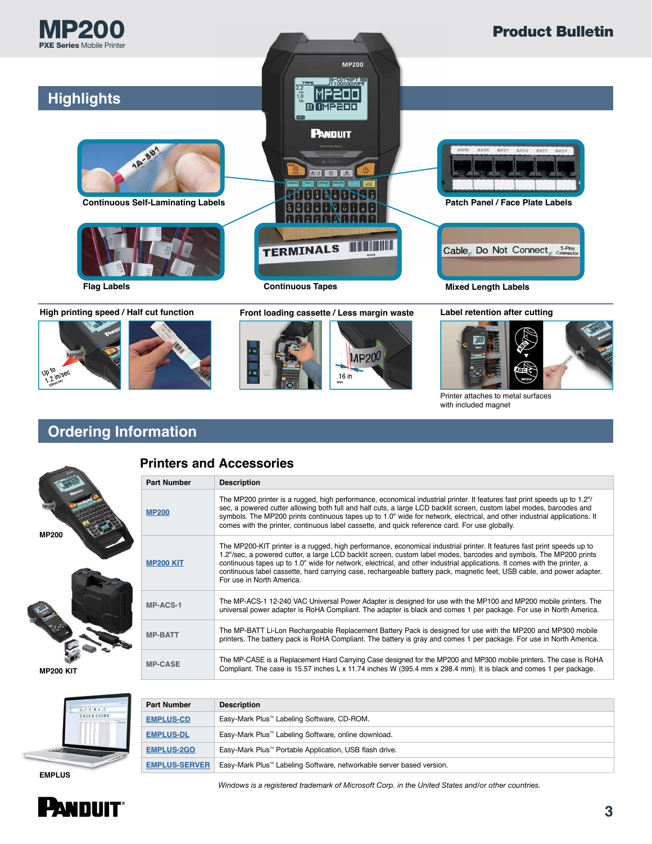







Printer attaches to metal surfaces with included magnet

## **Ordering Information**



#### **Printers and Accessories**

| <b>Part Number</b> | <b>Description</b>                                                                                                                                                                                                                                                                                                                                                                                                                                                                                                                |
|--------------------|-----------------------------------------------------------------------------------------------------------------------------------------------------------------------------------------------------------------------------------------------------------------------------------------------------------------------------------------------------------------------------------------------------------------------------------------------------------------------------------------------------------------------------------|
| <b>MP200</b>       | The MP200 printer is a rugged, high performance, economical industrial printer. It features fast print speeds up to 1.2"/<br>sec, a powered cutter allowing both full and half cuts, a large LCD backlit screen, custom label modes, barcodes and<br>symbols. The MP200 prints continuous tapes up to 1.0" wide for network, electrical, and other industrial applications. It<br>comes with the printer, continuous label cassette, and quick reference card. For use globally.                                                  |
| <b>MP200 KIT</b>   | The MP200-KIT printer is a rugged, high performance, economical industrial printer. It features fast print speeds up to<br>1.2"/sec, a powered cutter, a large LCD backlit screen, custom label modes, barcodes and symbols. The MP200 prints<br>continuous tapes up to 1.0" wide for network, electrical, and other industrial applications. It comes with the printer, a<br>continuous label cassette, hard carrying case, rechargeable battery pack, magnetic feet, USB cable, and power adapter.<br>For use in North America. |
| MP-ACS-1           | The MP-ACS-1 12-240 VAC Universal Power Adapter is designed for use with the MP100 and MP200 mobile printers. The<br>universal power adapter is RoHA Compliant. The adapter is black and comes 1 per package. For use in North America.                                                                                                                                                                                                                                                                                           |
| <b>MP-BATT</b>     | The MP-BATT Li-Lon Rechargeable Replacement Battery Pack is designed for use with the MP200 and MP300 mobile<br>printers. The battery pack is RoHA Compliant. The battery is gray and comes 1 per package. For use in North America.                                                                                                                                                                                                                                                                                              |
| <b>MP-CASE</b>     | The MP-CASE is a Replacement Hard Carrying Case designed for the MP200 and MP300 mobile printers. The case is RoHA<br>Compliant. The case is 15.57 inches L x 11.74 inches W (395.4 mm x 298.4 mm). It is black and comes 1 per package.                                                                                                                                                                                                                                                                                          |

**MP200 KIT**



| <b>Part Number</b>   | <b>Description</b>                                                   |
|----------------------|----------------------------------------------------------------------|
| <b>EMPLUS-CD</b>     | Easy-Mark Plus <sup>™</sup> Labeling Software, CD-ROM.               |
| <b>EMPLUS-DL</b>     | Easy-Mark Plus™ Labeling Software, online download.                  |
| <b>EMPLUS-2GO</b>    | Easy-Mark Plus <sup>™</sup> Portable Application, USB flash drive.   |
| <b>EMPLUS-SERVER</b> | Easy-Mark Plus™ Labeling Software, networkable server based version. |

*Windows is a registered trademark of Microsoft Corp. in the United States and/or other countries.*

# PANDUIT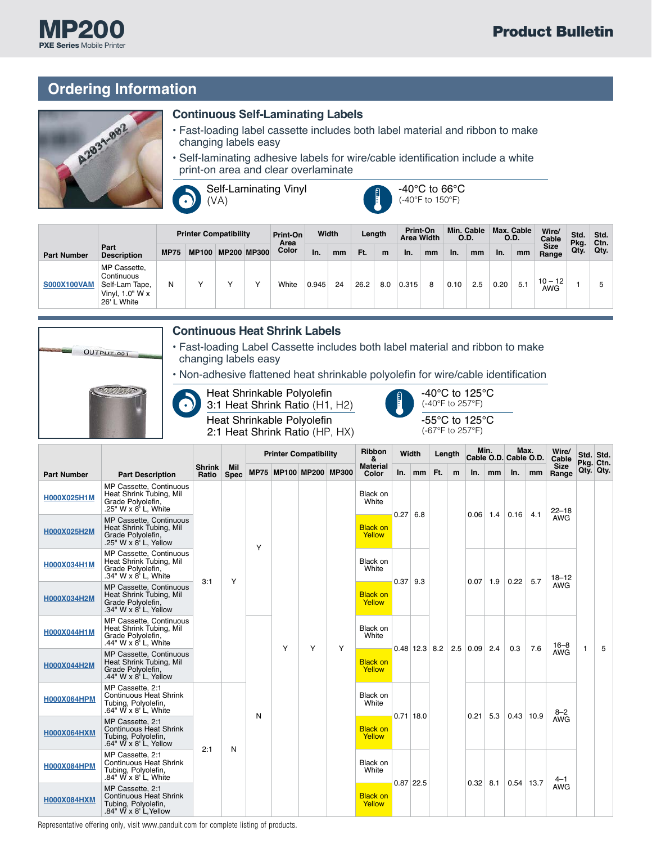### **Ordering Information**



MP200 PXE Series Mobile Printer

#### **Continuous Self-Laminating Labels**

- Fast-loading label cassette includes both label material and ribbon to make changing labels easy
- Self-laminating adhesive labels for wire/cable identification include a white print-on area and clear overlaminate

Self-Laminating Vinyl  $\bullet$ (VA)



-40°C to 66°C (-40°F to 150°F)

|                    |                                                                                  |             | <b>Printer Compatibility</b> |                    | Print-On<br>Area |       | Width |      | Length | Print-On<br><b>Area Width</b> |    | O.D. | Min. Cable | O.D. | Max. Cable | Wire/<br>Cable          | Std.         | Std.<br>Ctn. |
|--------------------|----------------------------------------------------------------------------------|-------------|------------------------------|--------------------|------------------|-------|-------|------|--------|-------------------------------|----|------|------------|------|------------|-------------------------|--------------|--------------|
| <b>Part Number</b> | Part<br><b>Description</b>                                                       | <b>MP75</b> | <b>MP100</b>                 | <b>MP200 MP300</b> | Color            | In.   | mm    | Ft.  | m      | In.                           | mm | In.  | mm         | In.  | mm         | <b>Size</b><br>Range    | Pkg.<br>Qty. | Qty.         |
| <b>S000X100VAM</b> | MP Cassette,<br>Continuous<br>Self-Lam Tape,<br>Vinyl, $1.0"$ W x<br>26' L White | N           |                              |                    | White            | 0.945 | 24    | 26.2 | 8.0    | 0.315                         | 8  | 0.10 | 2.5        | 0.20 | 5.1        | $10 - 12$<br><b>AWG</b> |              | 5            |

| OUTPUT-001 |                                                                                                                                          |  | <b>Continuous Heat Shrink Labels</b><br>• Fast-loading Label Cassette includes both label material and ribbon to make<br>changing labels easy     |             |       |                                                          |  |                                                |  |  |      |
|------------|------------------------------------------------------------------------------------------------------------------------------------------|--|---------------------------------------------------------------------------------------------------------------------------------------------------|-------------|-------|----------------------------------------------------------|--|------------------------------------------------|--|--|------|
|            |                                                                                                                                          |  | • Non-adhesive flattened heat shrinkable polyolefin for wire/cable identification<br>Heat Shrinkable Polyolefin<br>3:1 Heat Shrink Ratio (H1, H2) |             | Ð     | -40 $^{\circ}$ C to 125 $^{\circ}$ C<br>(-40°F to 257°F) |  |                                                |  |  |      |
|            | Heat Shrinkable Polyolefin<br>-55 $\mathrm{^{\circ}C}$ to 125 $\mathrm{^{\circ}C}$<br>(-67°F to 257°F)<br>2:1 Heat Shrink Ratio (HP, HX) |  |                                                                                                                                                   |             |       |                                                          |  |                                                |  |  |      |
|            |                                                                                                                                          |  | <b>Printer Compatibility</b>                                                                                                                      | Ribbon<br>& | Width | Length                                                   |  | Min. Max. Wire/<br>Cable O.D. Cable O.D. Cable |  |  | Std. |

|                    |                                                                                                                |                        |                           |   |  | <b>Princer Companying</b> |                        | WIULII<br>&               |                           |             |                 |   |                    |                         |             | renan |                      |            | Cable O.D. Cable O.D. |   | Cable |  | STA. STA.<br>Pkg. Ctn. |
|--------------------|----------------------------------------------------------------------------------------------------------------|------------------------|---------------------------|---|--|---------------------------|------------------------|---------------------------|---------------------------|-------------|-----------------|---|--------------------|-------------------------|-------------|-------|----------------------|------------|-----------------------|---|-------|--|------------------------|
| <b>Part Number</b> | <b>Part Description</b>                                                                                        | <b>Shrink</b><br>Ratio | <b>Mil</b><br><b>Spec</b> |   |  |                           | MP75 MP100 MP200 MP300 | <b>Material</b><br>Color  | In.                       | $mm$ Ft.    |                 | m | In.                | mm                      | In.         | mm    | <b>Size</b><br>Range |            | Qty. Qty.             |   |       |  |                        |
| H000X025H1M        | MP Cassette, Continuous<br>Heat Shrink Tubing, Mil<br>Grade Polyolefin,<br>.25" W x 8' L, White                |                        |                           |   |  |                           |                        | Black on<br>White         | 0.27                      | 6.8         |                 |   | $0.06$ 1.4         |                         | 0.16        | 4.1   | $22 - 18$            |            |                       |   |       |  |                        |
| H000X025H2M        | MP Cassette, Continuous<br>Heat Shrink Tubing, Mil<br>Grade Polyolefin,<br>.25" W x 8' L, Yellow               |                        | Υ                         | Y |  |                           |                        | <b>Black on</b><br>Yellow |                           |             |                 |   |                    |                         |             |       | <b>AWG</b>           |            |                       |   |       |  |                        |
| H000X034H1M        | MP Cassette, Continuous<br>Heat Shrink Tubing, Mil<br>Grade Polyolefin,<br>.34" W x 8' L, White                | 3:1                    |                           |   |  |                           |                        | Black on<br>White         | $0.37$ 9.3                |             |                 |   | $0.07$ 1.9         |                         | 0.22        | 5.7   | $18 - 12$            |            |                       |   |       |  |                        |
| H000X034H2M        | MP Cassette, Continuous<br>Heat Shrink Tubing, Mil<br>Grade Polyolefin,<br>.34" W x 8' L, Yellow               |                        |                           |   |  | Y                         |                        |                           | <b>Black on</b><br>Yellow |             |                 |   |                    |                         |             |       |                      | <b>AWG</b> | $\mathbf{1}$          |   |       |  |                        |
| H000X044H1M        | MP Cassette, Continuous<br>Heat Shrink Tubing, Mil<br>Grade Polyolefin,<br>.44" W x 8' L. White                |                        |                           |   |  |                           | Υ                      | Υ                         | Black on<br>White         |             | $0.48$ 12.3 8.2 |   |                    | $2.5 \,   \, 0.09 \,  $ | 2.4         | 0.3   | 7.6                  | $16 - 8$   |                       | 5 |       |  |                        |
| H000X044H2M        | MP Cassette, Continuous<br>Heat Shrink Tubing, Mil<br>Grade Polvolefin.<br>.44" W x 8' L, Yellow               |                        |                           |   |  |                           |                        |                           | <b>Black on</b><br>Yellow |             |                 |   |                    |                         |             |       | AWG                  |            |                       |   |       |  |                        |
| <b>H000X064HPM</b> | MP Cassette, 2:1<br><b>Continuous Heat Shrink</b><br>Tubing, Polyolefin,<br>.64" W x 8' L, White               |                        |                           | N |  |                           |                        | Black on<br>White         |                           | $0.71$ 18.0 |                 |   | 0.21               | 5.3                     | $0.43$ 10.9 |       | $8 - 2$              |            |                       |   |       |  |                        |
| <b>H000X064HXM</b> | MP Cassette, 2:1<br><b>Continuous Heat Shrink</b><br>Tubing, Polyolefin,<br>.64" $\overline{W}$ x 8' L, Yellow | 2:1                    |                           |   |  |                           |                        |                           | <b>Black on</b><br>Yellow |             |                 |   |                    |                         |             |       |                      | <b>AWG</b> |                       |   |       |  |                        |
| <b>H000X084HPM</b> | MP Cassette, 2:1<br><b>Continuous Heat Shrink</b><br>Tubing, Polyolefin,<br>.84" W x 8' L, White               |                        | N                         |   |  |                           |                        | Black on<br>White         |                           | $0.87$ 22.5 |                 |   | $0.32 \,   \, 8.1$ |                         | $0.54$ 13.7 |       | $4 - 1$              |            |                       |   |       |  |                        |
| <b>H000X084HXM</b> | MP Cassette, 2:1<br><b>Continuous Heat Shrink</b><br>Tubing, Polyolefin,<br>.84" $W \times 8'$ L, Yellow       |                        |                           |   |  |                           |                        | <b>Black on</b><br>Yellow |                           |             |                 |   |                    |                         |             |       | <b>AWG</b>           |            |                       |   |       |  |                        |

Representative offering only, visit www.panduit.com for complete listing of products.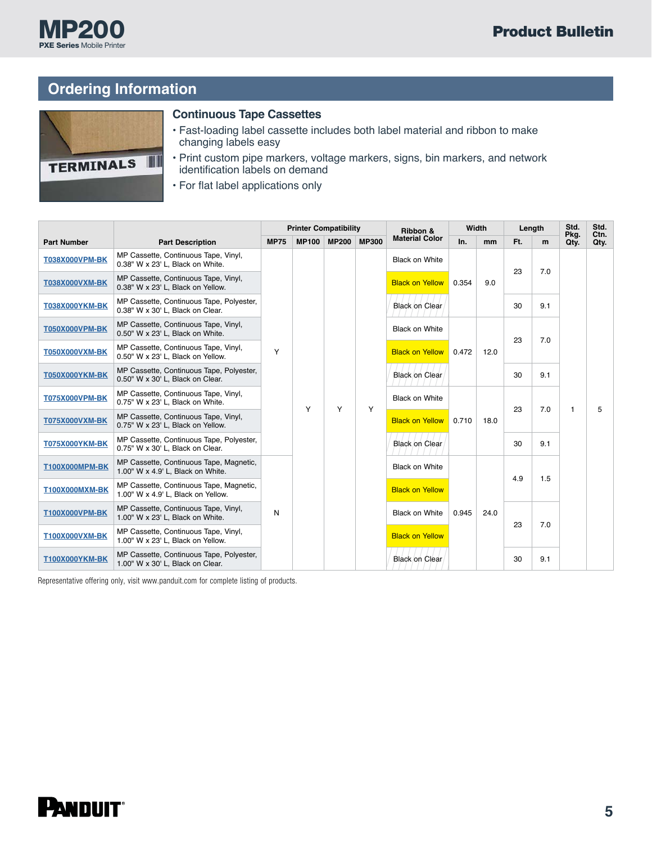

## **Ordering Information**



#### **Continuous Tape Cassettes**

- Fast-loading label cassette includes both label material and ribbon to make changing labels easy
- Print custom pipe markers, voltage markers, signs, bin markers, and network identification labels on demand
- For flat label applications only

|                       |                                                                               |             | <b>Printer Compatibility</b> |              |              | Ribbon &               | Width |      | Length |     | Std.         | Std.<br>Ctn. |
|-----------------------|-------------------------------------------------------------------------------|-------------|------------------------------|--------------|--------------|------------------------|-------|------|--------|-----|--------------|--------------|
| <b>Part Number</b>    | <b>Part Description</b>                                                       | <b>MP75</b> | <b>MP100</b>                 | <b>MP200</b> | <b>MP300</b> | <b>Material Color</b>  | In.   | mm   | Ft.    | m   | Pkg.<br>Qty. | Qty.         |
| <b>T038X000VPM-BK</b> | MP Cassette, Continuous Tape, Vinyl,<br>0.38" W x 23' L. Black on White.      |             |                              |              |              | <b>Black on White</b>  |       |      |        | 7.0 |              |              |
| <b>T038X000VXM-BK</b> | MP Cassette, Continuous Tape, Vinyl,<br>0.38" W x 23' L, Black on Yellow.     |             |                              |              |              | <b>Black on Yellow</b> | 0.354 | 9.0  | 23     |     |              |              |
| T038X000YKM-BK        | MP Cassette, Continuous Tape, Polyester,<br>0.38" W x 30' L, Black on Clear.  |             |                              |              |              | <b>Black on Clear</b>  |       |      | 30     | 9.1 |              |              |
| <b>T050X000VPM-BK</b> | MP Cassette, Continuous Tape, Vinyl,<br>0.50" W x 23' L, Black on White.      |             |                              |              |              | <b>Black on White</b>  | 0.472 |      |        |     |              |              |
| <b>T050X000VXM-BK</b> | MP Cassette, Continuous Tape, Vinyl,<br>0.50" W x 23' L, Black on Yellow.     | Y           |                              |              |              | <b>Black on Yellow</b> |       | 12.0 | 23     | 7.0 |              |              |
| <b>T050X000YKM-BK</b> | MP Cassette, Continuous Tape, Polyester,<br>0.50" W x 30' L, Black on Clear.  |             |                              |              |              | <b>Black on Clear</b>  |       |      | 30     | 9.1 |              |              |
| <b>T075X000VPM-BK</b> | MP Cassette, Continuous Tape, Vinyl,<br>0.75" W x 23' L. Black on White.      |             | Y                            | Y            | Y            | <b>Black on White</b>  | 0.710 |      | 23     | 7.0 | $\mathbf{1}$ | 5            |
| <b>T075X000VXM-BK</b> | MP Cassette, Continuous Tape, Vinyl,<br>0.75" W x 23' L, Black on Yellow.     |             |                              |              |              | <b>Black on Yellow</b> |       | 18.0 |        |     |              |              |
| <b>T075X000YKM-BK</b> | MP Cassette, Continuous Tape, Polyester,<br>0.75" W x 30' L, Black on Clear.  |             |                              |              |              | <b>Black on Clear</b>  |       |      | 30     | 9.1 |              |              |
| <b>T100X000MPM-BK</b> | MP Cassette, Continuous Tape, Magnetic,<br>1.00" W x 4.9' L, Black on White.  |             |                              |              |              | <b>Black on White</b>  |       |      | 4.9    | 1.5 |              |              |
| <b>T100X000MXM-BK</b> | MP Cassette, Continuous Tape, Magnetic,<br>1.00" W x 4.9' L, Black on Yellow. |             |                              |              |              | <b>Black on Yellow</b> |       |      |        |     |              |              |
| <b>T100X000VPM-BK</b> | MP Cassette, Continuous Tape, Vinyl,<br>1.00" W x 23' L, Black on White.      | N           |                              |              |              | <b>Black on White</b>  | 0.945 | 24.0 | 23     | 7.0 |              |              |
| T100X000VXM-BK        | MP Cassette, Continuous Tape, Vinyl,<br>1.00" W x 23' L, Black on Yellow.     |             |                              |              |              | <b>Black on Yellow</b> |       |      |        |     |              |              |
| <b>T100X000YKM-BK</b> | MP Cassette, Continuous Tape, Polyester,<br>1.00" W x 30' L, Black on Clear.  |             |                              |              |              | <b>Black on Clear</b>  |       |      | 30     | 9.1 |              |              |

Representative offering only, visit www.panduit.com for complete listing of products.

# **PANDUIT®**